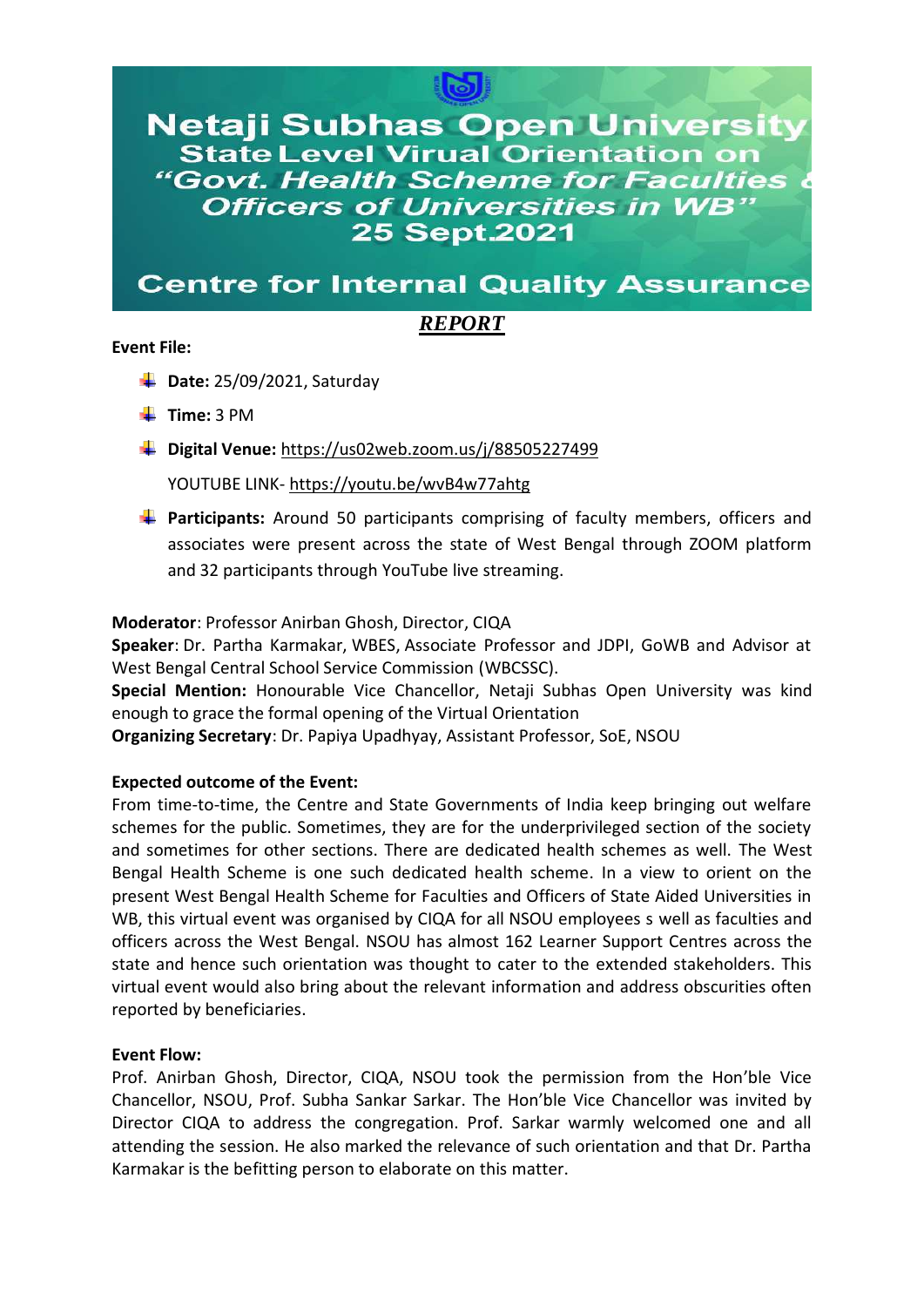

**Netaji Subhas Open University State Level Virual Orientation on** "Govt. Health Scheme for Faculties **Officers of Universities in WB" 25 Sept.2021** 

# **Centre for Internal Quality Assurance**

## *REPORT*

#### **Event File:**

- **L** Date: 25/09/2021, Saturday
- **Time:** 3 PM
- **Digital Venue:** <https://us02web.zoom.us/j/88505227499>

YOUTUBE LINK- <https://youtu.be/wvB4w77ahtg>

**Participants:** Around 50 participants comprising of faculty members, officers and associates were present across the state of West Bengal through ZOOM platform and 32 participants through YouTube live streaming.

### **Moderator**: Professor Anirban Ghosh, Director, CIQA

**Speaker**: Dr. Partha Karmakar, WBES, Associate Professor and JDPI, GoWB and Advisor at West Bengal Central School Service Commission (WBCSSC).

**Special Mention:** Honourable Vice Chancellor, Netaji Subhas Open University was kind enough to grace the formal opening of the Virtual Orientation

**Organizing Secretary**: Dr. Papiya Upadhyay, Assistant Professor, SoE, NSOU

### **Expected outcome of the Event:**

From time-to-time, the Centre and State Governments of India keep bringing out welfare schemes for the public. Sometimes, they are for the underprivileged section of the society and sometimes for other sections. There are dedicated health schemes as well. The West Bengal Health Scheme is one such dedicated health scheme. In a view to orient on the present West Bengal Health Scheme for Faculties and Officers of State Aided Universities in WB, this virtual event was organised by CIQA for all NSOU employees s well as faculties and officers across the West Bengal. NSOU has almost 162 Learner Support Centres across the state and hence such orientation was thought to cater to the extended stakeholders. This virtual event would also bring about the relevant information and address obscurities often reported by beneficiaries.

### **Event Flow:**

Prof. Anirban Ghosh, Director, CIQA, NSOU took the permission from the Hon'ble Vice Chancellor, NSOU, Prof. Subha Sankar Sarkar. The Hon'ble Vice Chancellor was invited by Director CIQA to address the congregation. Prof. Sarkar warmly welcomed one and all attending the session. He also marked the relevance of such orientation and that Dr. Partha Karmakar is the befitting person to elaborate on this matter.